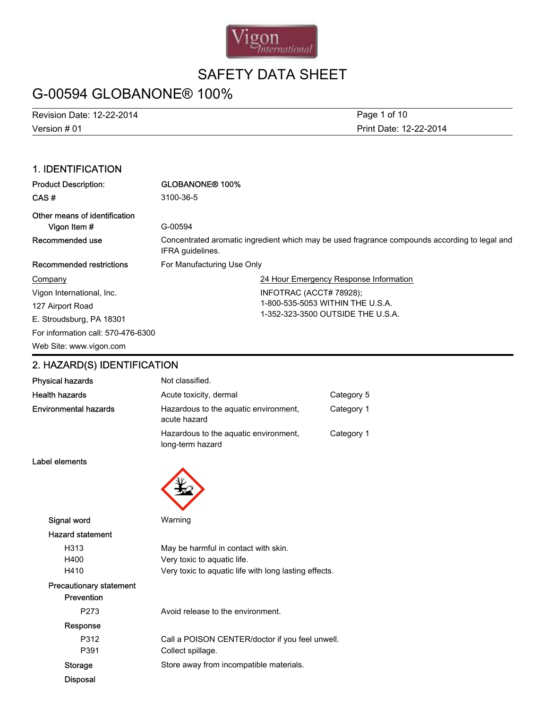

# G-00594 GLOBANONE® 100%

Version # 01 Revision Date: 12-22-2014 Page 1 of 10

Print Date: 12-22-2014

### 1. IDENTIFICATION

| <b>Product Description:</b>        | <b>GLOBANONE® 100%</b>                                                                                            |  |  |
|------------------------------------|-------------------------------------------------------------------------------------------------------------------|--|--|
| CAS#                               | 3100-36-5                                                                                                         |  |  |
| Other means of identification      |                                                                                                                   |  |  |
| Vigon Item #                       | G-00594                                                                                                           |  |  |
| Recommended use                    | Concentrated aromatic ingredient which may be used fragrance compounds according to legal and<br>IFRA quidelines. |  |  |
| Recommended restrictions           | For Manufacturing Use Only                                                                                        |  |  |
| Company                            | 24 Hour Emergency Response Information                                                                            |  |  |
| Vigon International, Inc.          | INFOTRAC (ACCT# 78928);                                                                                           |  |  |
| 127 Airport Road                   | 1-800-535-5053 WITHIN THE U.S.A.                                                                                  |  |  |
| E. Stroudsburg, PA 18301           | 1-352-323-3500 OUTSIDE THE U.S.A.                                                                                 |  |  |
| For information call: 570-476-6300 |                                                                                                                   |  |  |
| Web Site: www.vigon.com            |                                                                                                                   |  |  |

### 2. HAZARD(S) IDENTIFICATION

| <b>Physical hazards</b>                      | Not classified.                                           |            |
|----------------------------------------------|-----------------------------------------------------------|------------|
| <b>Health hazards</b>                        | Acute toxicity, dermal                                    | Category 5 |
| <b>Environmental hazards</b>                 | Hazardous to the aquatic environment,<br>acute hazard     | Category 1 |
|                                              | Hazardous to the aquatic environment,<br>long-term hazard | Category 1 |
| Label elements                               |                                                           |            |
|                                              |                                                           |            |
| Signal word                                  | Warning                                                   |            |
| <b>Hazard statement</b>                      |                                                           |            |
| H313                                         | May be harmful in contact with skin.                      |            |
| H400                                         | Very toxic to aquatic life.                               |            |
| H410                                         | Very toxic to aquatic life with long lasting effects.     |            |
| <b>Precautionary statement</b><br>Prevention |                                                           |            |
| P273                                         | Avoid release to the environment.                         |            |
| Response                                     |                                                           |            |
| P312                                         | Call a POISON CENTER/doctor if you feel unwell.           |            |
| P391                                         | Collect spillage.                                         |            |
| <b>Storage</b>                               | Store away from incompatible materials.                   |            |

Disposal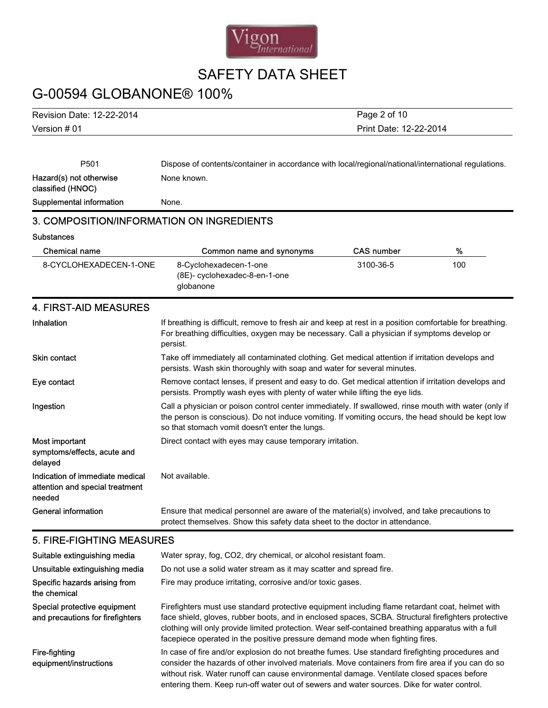

# G-00594 GLOBANONE® 100%

Version # 01 Revision Date: 12-22-2014 Print Date: 12-22-2014 Page 2 of 10

| P501                                                                         | Dispose of contents/container in accordance with local/regional/national/international regulations.                                                                                                                                                         |                   |     |  |
|------------------------------------------------------------------------------|-------------------------------------------------------------------------------------------------------------------------------------------------------------------------------------------------------------------------------------------------------------|-------------------|-----|--|
| Hazard(s) not otherwise<br>classified (HNOC)                                 | None known.                                                                                                                                                                                                                                                 |                   |     |  |
| Supplemental information                                                     | None.                                                                                                                                                                                                                                                       |                   |     |  |
| 3. COMPOSITION/INFORMATION ON INGREDIENTS                                    |                                                                                                                                                                                                                                                             |                   |     |  |
| <b>Substances</b>                                                            |                                                                                                                                                                                                                                                             |                   |     |  |
| <b>Chemical name</b>                                                         | Common name and synonyms                                                                                                                                                                                                                                    | <b>CAS number</b> | %   |  |
| 8-CYCLOHEXADECEN-1-ONE                                                       | 8-Cyclohexadecen-1-one<br>(8E)- cyclohexadec-8-en-1-one<br>globanone                                                                                                                                                                                        | 3100-36-5         | 100 |  |
| <b>4. FIRST-AID MEASURES</b>                                                 |                                                                                                                                                                                                                                                             |                   |     |  |
| Inhalation                                                                   | If breathing is difficult, remove to fresh air and keep at rest in a position comfortable for breathing.<br>For breathing difficulties, oxygen may be necessary. Call a physician if symptoms develop or<br>persist.                                        |                   |     |  |
| <b>Skin contact</b>                                                          | Take off immediately all contaminated clothing. Get medical attention if irritation develops and<br>persists. Wash skin thoroughly with soap and water for several minutes.                                                                                 |                   |     |  |
| Eye contact                                                                  | Remove contact lenses, if present and easy to do. Get medical attention if irritation develops and<br>persists. Promptly wash eyes with plenty of water while lifting the eye lids.                                                                         |                   |     |  |
| Ingestion                                                                    | Call a physician or poison control center immediately. If swallowed, rinse mouth with water (only if<br>the person is conscious). Do not induce vomiting. If vomiting occurs, the head should be kept low<br>so that stomach vomit doesn't enter the lungs. |                   |     |  |
| Most important<br>symptoms/effects, acute and<br>delayed                     | Direct contact with eyes may cause temporary irritation.                                                                                                                                                                                                    |                   |     |  |
| Indication of immediate medical<br>attention and special treatment<br>needed | Not available.                                                                                                                                                                                                                                              |                   |     |  |
| <b>General information</b>                                                   | Ensure that medical personnel are aware of the material(s) involved, and take precautions to<br>protect themselves. Show this safety data sheet to the doctor in attendance.                                                                                |                   |     |  |

### 5. FIRE-FIGHTING MEASURES

| Suitable extinguishing media<br>Unsuitable extinguishing media   | Water spray, fog, CO2, dry chemical, or alcohol resistant foam.<br>Do not use a solid water stream as it may scatter and spread fire.                                                                                                                                                                                                                                                           |
|------------------------------------------------------------------|-------------------------------------------------------------------------------------------------------------------------------------------------------------------------------------------------------------------------------------------------------------------------------------------------------------------------------------------------------------------------------------------------|
| Specific hazards arising from<br>the chemical                    | Fire may produce irritating, corrosive and/or toxic gases.                                                                                                                                                                                                                                                                                                                                      |
| Special protective equipment<br>and precautions for firefighters | Firefighters must use standard protective equipment including flame retardant coat, helmet with<br>face shield, gloves, rubber boots, and in enclosed spaces, SCBA. Structural firefighters protective<br>clothing will only provide limited protection. Wear self-contained breathing apparatus with a full<br>facepiece operated in the positive pressure demand mode when fighting fires.    |
| Fire-fighting<br>equipment/instructions                          | In case of fire and/or explosion do not breathe fumes. Use standard firefighting procedures and<br>consider the hazards of other involved materials. Move containers from fire area if you can do so<br>without risk. Water runoff can cause environmental damage. Ventilate closed spaces before<br>entering them. Keep run-off water out of sewers and water sources. Dike for water control. |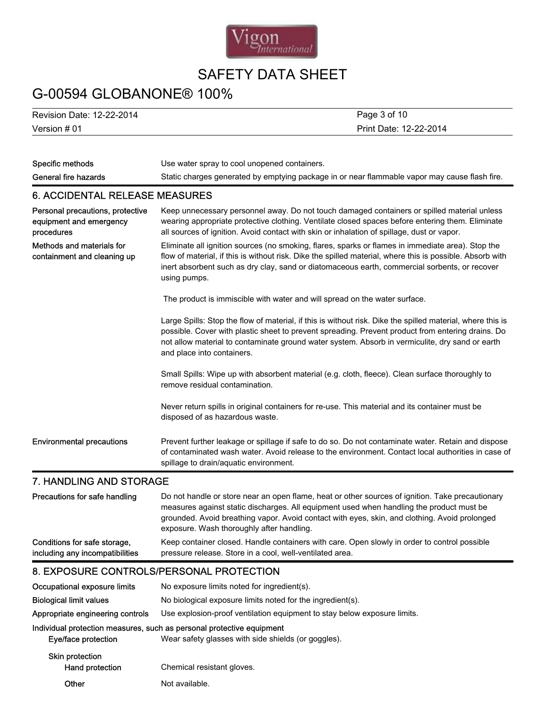

## G-00594 GLOBANONE® 100%

Version # 01 Revision Date: 12-22-2014

Print Date: 12-22-2014 Page 3 of 10

| Specific methods                                                          | Use water spray to cool unopened containers.                                                                                                                                                                                                                                                                                                     |  |  |  |
|---------------------------------------------------------------------------|--------------------------------------------------------------------------------------------------------------------------------------------------------------------------------------------------------------------------------------------------------------------------------------------------------------------------------------------------|--|--|--|
| <b>General fire hazards</b>                                               | Static charges generated by emptying package in or near flammable vapor may cause flash fire.                                                                                                                                                                                                                                                    |  |  |  |
| <b>6. ACCIDENTAL RELEASE MEASURES</b>                                     |                                                                                                                                                                                                                                                                                                                                                  |  |  |  |
| Personal precautions, protective<br>equipment and emergency<br>procedures | Keep unnecessary personnel away. Do not touch damaged containers or spilled material unless<br>wearing appropriate protective clothing. Ventilate closed spaces before entering them. Eliminate<br>all sources of ignition. Avoid contact with skin or inhalation of spillage, dust or vapor.                                                    |  |  |  |
| Methods and materials for<br>containment and cleaning up                  | Eliminate all ignition sources (no smoking, flares, sparks or flames in immediate area). Stop the<br>flow of material, if this is without risk. Dike the spilled material, where this is possible. Absorb with<br>inert absorbent such as dry clay, sand or diatomaceous earth, commercial sorbents, or recover<br>using pumps.                  |  |  |  |
|                                                                           | The product is immiscible with water and will spread on the water surface.                                                                                                                                                                                                                                                                       |  |  |  |
|                                                                           | Large Spills: Stop the flow of material, if this is without risk. Dike the spilled material, where this is<br>possible. Cover with plastic sheet to prevent spreading. Prevent product from entering drains. Do<br>not allow material to contaminate ground water system. Absorb in vermiculite, dry sand or earth<br>and place into containers. |  |  |  |
|                                                                           | Small Spills: Wipe up with absorbent material (e.g. cloth, fleece). Clean surface thoroughly to<br>remove residual contamination.                                                                                                                                                                                                                |  |  |  |
|                                                                           | Never return spills in original containers for re-use. This material and its container must be<br>disposed of as hazardous waste.                                                                                                                                                                                                                |  |  |  |
| <b>Environmental precautions</b>                                          | Prevent further leakage or spillage if safe to do so. Do not contaminate water. Retain and dispose<br>of contaminated wash water. Avoid release to the environment. Contact local authorities in case of<br>spillage to drain/aquatic environment.                                                                                               |  |  |  |
| 7. HANDLING AND STORAGE                                                   |                                                                                                                                                                                                                                                                                                                                                  |  |  |  |
| Precautions for safe handling                                             | Do not handle or store near an open flame, heat or other sources of ignition. Take precautionary                                                                                                                                                                                                                                                 |  |  |  |

|                                                                 | measures against static discharges. All equipment used when handling the product must be                                                                 |  |  |
|-----------------------------------------------------------------|----------------------------------------------------------------------------------------------------------------------------------------------------------|--|--|
|                                                                 | grounded. Avoid breathing vapor. Avoid contact with eyes, skin, and clothing. Avoid prolonged<br>exposure. Wash thoroughly after handling.               |  |  |
| Conditions for safe storage,<br>including any incompatibilities | Keep container closed. Handle containers with care. Open slowly in order to control possible<br>pressure release. Store in a cool, well-ventilated area. |  |  |

### 8. EXPOSURE CONTROLS/PERSONAL PROTECTION

| Occupational exposure limits       | No exposure limits noted for ingredient(s).                                                                                  |  |  |
|------------------------------------|------------------------------------------------------------------------------------------------------------------------------|--|--|
| <b>Biological limit values</b>     | No biological exposure limits noted for the ingredient(s).                                                                   |  |  |
| Appropriate engineering controls   | Use explosion-proof ventilation equipment to stay below exposure limits.                                                     |  |  |
| Eye/face protection                | Individual protection measures, such as personal protective equipment<br>Wear safety glasses with side shields (or goggles). |  |  |
| Skin protection<br>Hand protection | Chemical resistant gloves.                                                                                                   |  |  |
| Other                              | Not available.                                                                                                               |  |  |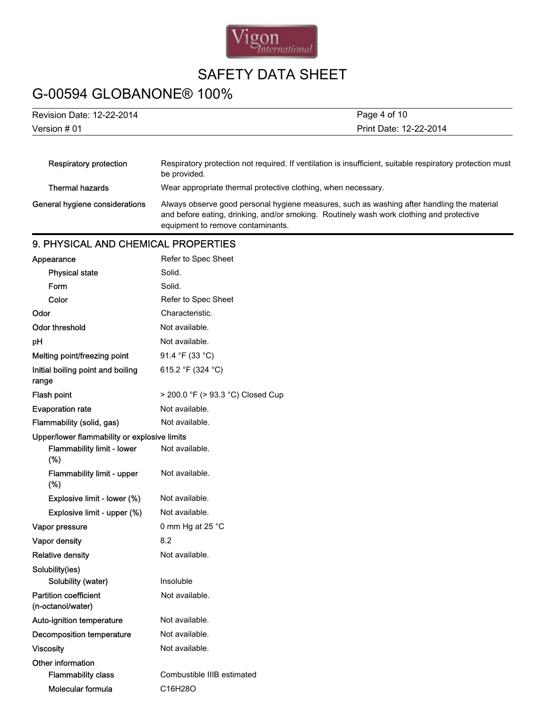

# G-00594 GLOBANONE® 100%

| Revision Date: 12-22-2014                         | Page 4 of 10                                                                                                                                                                                                                |  |  |  |
|---------------------------------------------------|-----------------------------------------------------------------------------------------------------------------------------------------------------------------------------------------------------------------------------|--|--|--|
| Version # 01<br>Print Date: 12-22-2014            |                                                                                                                                                                                                                             |  |  |  |
|                                                   |                                                                                                                                                                                                                             |  |  |  |
| <b>Respiratory protection</b>                     | Respiratory protection not required. If ventilation is insufficient, suitable respiratory protection must<br>be provided.                                                                                                   |  |  |  |
| <b>Thermal hazards</b>                            | Wear appropriate thermal protective clothing, when necessary.                                                                                                                                                               |  |  |  |
| General hygiene considerations                    | Always observe good personal hygiene measures, such as washing after handling the material<br>and before eating, drinking, and/or smoking. Routinely wash work clothing and protective<br>equipment to remove contaminants. |  |  |  |
| 9. PHYSICAL AND CHEMICAL PROPERTIES               |                                                                                                                                                                                                                             |  |  |  |
| Appearance                                        | Refer to Spec Sheet                                                                                                                                                                                                         |  |  |  |
| <b>Physical state</b>                             | Solid.                                                                                                                                                                                                                      |  |  |  |
| Form                                              | Solid.                                                                                                                                                                                                                      |  |  |  |
| Color                                             | Refer to Spec Sheet                                                                                                                                                                                                         |  |  |  |
| Odor                                              | Characteristic.                                                                                                                                                                                                             |  |  |  |
| <b>Odor threshold</b>                             | Not available.                                                                                                                                                                                                              |  |  |  |
| pH                                                | Not available.                                                                                                                                                                                                              |  |  |  |
| Melting point/freezing point                      | 91.4 °F (33 °C)                                                                                                                                                                                                             |  |  |  |
| Initial boiling point and boiling<br>range        | 615.2 °F (324 °C)                                                                                                                                                                                                           |  |  |  |
| Flash point                                       | > 200.0 °F (> 93.3 °C) Closed Cup                                                                                                                                                                                           |  |  |  |
| <b>Evaporation rate</b>                           | Not available.                                                                                                                                                                                                              |  |  |  |
| Flammability (solid, gas)                         | Not available.                                                                                                                                                                                                              |  |  |  |
| Upper/lower flammability or explosive limits      |                                                                                                                                                                                                                             |  |  |  |
| Flammability limit - lower<br>(%)                 | Not available.                                                                                                                                                                                                              |  |  |  |
| Flammability limit - upper<br>(%)                 | Not available.                                                                                                                                                                                                              |  |  |  |
| Explosive limit - lower (%)                       | Not available.                                                                                                                                                                                                              |  |  |  |
| Explosive limit - upper (%)                       | Not available.                                                                                                                                                                                                              |  |  |  |
| Vapor pressure                                    | 0 mm Hg at 25 °C                                                                                                                                                                                                            |  |  |  |
| Vapor density                                     | 8.2                                                                                                                                                                                                                         |  |  |  |
| <b>Relative density</b>                           | Not available.                                                                                                                                                                                                              |  |  |  |
| Solubility(ies)<br>Solubility (water)             | Insoluble                                                                                                                                                                                                                   |  |  |  |
| <b>Partition coefficient</b><br>(n-octanol/water) | Not available.                                                                                                                                                                                                              |  |  |  |
| Auto-ignition temperature                         | Not available.                                                                                                                                                                                                              |  |  |  |
| <b>Decomposition temperature</b>                  | Not available.                                                                                                                                                                                                              |  |  |  |
| <b>Viscosity</b>                                  | Not available.                                                                                                                                                                                                              |  |  |  |
| Other information<br><b>Flammability class</b>    | Combustible IIIB estimated                                                                                                                                                                                                  |  |  |  |
| Molecular formula                                 | C16H28O                                                                                                                                                                                                                     |  |  |  |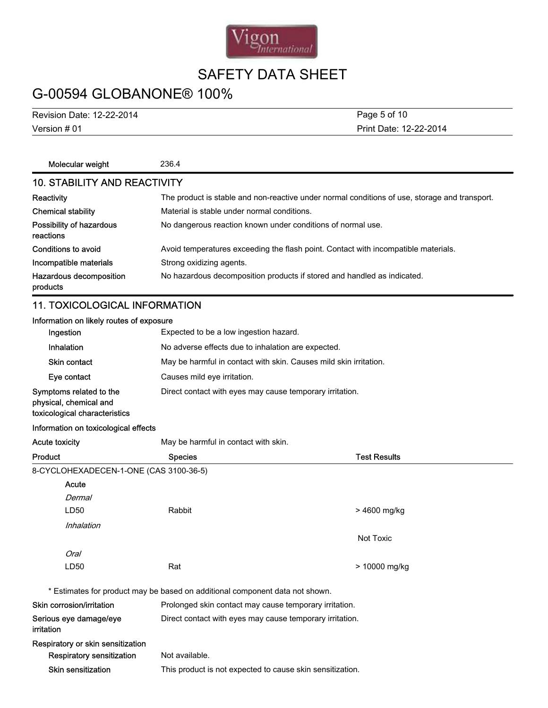

# G-00594 GLOBANONE® 100%

Version # 01 Revision Date: 12-22-2014 Print Date: 12-22-2014 Page 5 of 10

| Molecular weight                                                                   | 236.4                                                                                         |  |  |  |
|------------------------------------------------------------------------------------|-----------------------------------------------------------------------------------------------|--|--|--|
| <b>10. STABILITY AND REACTIVITY</b>                                                |                                                                                               |  |  |  |
| <b>Reactivity</b>                                                                  | The product is stable and non-reactive under normal conditions of use, storage and transport. |  |  |  |
| <b>Chemical stability</b>                                                          | Material is stable under normal conditions.                                                   |  |  |  |
| Possibility of hazardous<br>reactions                                              | No dangerous reaction known under conditions of normal use.                                   |  |  |  |
| Conditions to avoid                                                                | Avoid temperatures exceeding the flash point. Contact with incompatible materials.            |  |  |  |
| Incompatible materials                                                             | Strong oxidizing agents.                                                                      |  |  |  |
| Hazardous decomposition<br>products                                                | No hazardous decomposition products if stored and handled as indicated.                       |  |  |  |
| <b>11. TOXICOLOGICAL INFORMATION</b>                                               |                                                                                               |  |  |  |
| Information on likely routes of exposure                                           |                                                                                               |  |  |  |
| Ingestion                                                                          | Expected to be a low ingestion hazard.                                                        |  |  |  |
| Inhalation                                                                         | No adverse effects due to inhalation are expected.                                            |  |  |  |
| Skin contact                                                                       | May be harmful in contact with skin. Causes mild skin irritation.                             |  |  |  |
| Eye contact                                                                        | Causes mild eye irritation.                                                                   |  |  |  |
| Symptoms related to the<br>physical, chemical and<br>toxicological characteristics | Direct contact with eyes may cause temporary irritation.                                      |  |  |  |
| Information on toxicological effects                                               |                                                                                               |  |  |  |
| <b>Acute toxicity</b>                                                              | May be harmful in contact with skin.                                                          |  |  |  |

Product **Species** Species **Species** Species **Test Results** 8-CYCLOHEXADECEN-1-ONE (CAS 3100-36-5) LD50 Rabbit **Dermal** Acute > 4600 mg/kg Inhalation Not Toxic LD50 Rat Oral > 10000 mg/kg \* Estimates for product may be based on additional component data not shown. Skin corrosion/irritation **Prolonged skin contact may cause temporary irritation.** Serious eye damage/eye irritation Direct contact with eyes may cause temporary irritation. Respiratory or skin sensitization Respiratory sensitization Not available. Skin sensitization This product is not expected to cause skin sensitization.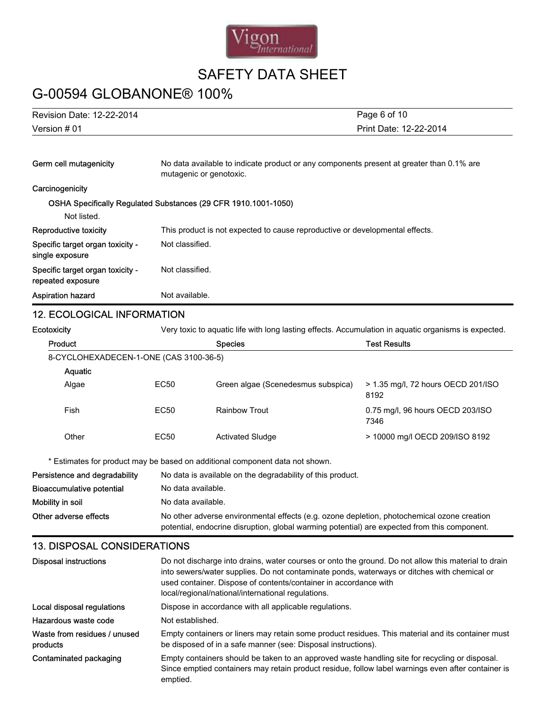

## G-00594 GLOBANONE® 100%

| Page 6 of 10                           |  |
|----------------------------------------|--|
| Version # 01<br>Print Date: 12-22-2014 |  |

| Germ cell mutagenicity                                | No data available to indicate product or any components present at greater than 0.1% are<br>mutagenic or genotoxic. |  |
|-------------------------------------------------------|---------------------------------------------------------------------------------------------------------------------|--|
| Carcinogenicity                                       |                                                                                                                     |  |
|                                                       | OSHA Specifically Regulated Substances (29 CFR 1910.1001-1050)                                                      |  |
| Not listed.                                           |                                                                                                                     |  |
| Reproductive toxicity                                 | This product is not expected to cause reproductive or developmental effects.                                        |  |
| Specific target organ toxicity -<br>single exposure   | Not classified.                                                                                                     |  |
| Specific target organ toxicity -<br>repeated exposure | Not classified.                                                                                                     |  |
| <b>Aspiration hazard</b>                              | Not available.                                                                                                      |  |

### 12. ECOLOGICAL INFORMATION

| <b>Ecotoxicity</b>                       | Very toxic to aquatic life with long lasting effects. Accumulation in aquatic organisms is expected. |                                                                                                                                                                                                                                                                                                                              |                                            |  |
|------------------------------------------|------------------------------------------------------------------------------------------------------|------------------------------------------------------------------------------------------------------------------------------------------------------------------------------------------------------------------------------------------------------------------------------------------------------------------------------|--------------------------------------------|--|
| Product                                  |                                                                                                      | <b>Species</b>                                                                                                                                                                                                                                                                                                               | <b>Test Results</b>                        |  |
| 8-CYCLOHEXADECEN-1-ONE (CAS 3100-36-5)   |                                                                                                      |                                                                                                                                                                                                                                                                                                                              |                                            |  |
| Aquatic                                  |                                                                                                      |                                                                                                                                                                                                                                                                                                                              |                                            |  |
| Algae                                    | <b>EC50</b>                                                                                          | Green algae (Scenedesmus subspica)                                                                                                                                                                                                                                                                                           | > 1.35 mg/l, 72 hours OECD 201/ISO<br>8192 |  |
| Fish                                     | <b>EC50</b>                                                                                          | <b>Rainbow Trout</b>                                                                                                                                                                                                                                                                                                         | 0.75 mg/l, 96 hours OECD 203/ISO<br>7346   |  |
| Other                                    | EC50                                                                                                 | <b>Activated Sludge</b>                                                                                                                                                                                                                                                                                                      | > 10000 mg/l OECD 209/ISO 8192             |  |
|                                          |                                                                                                      | * Estimates for product may be based on additional component data not shown.                                                                                                                                                                                                                                                 |                                            |  |
| Persistence and degradability            |                                                                                                      | No data is available on the degradability of this product.                                                                                                                                                                                                                                                                   |                                            |  |
| <b>Bioaccumulative potential</b>         |                                                                                                      | No data available.                                                                                                                                                                                                                                                                                                           |                                            |  |
| Mobility in soil                         |                                                                                                      | No data available.                                                                                                                                                                                                                                                                                                           |                                            |  |
| Other adverse effects                    |                                                                                                      | No other adverse environmental effects (e.g. ozone depletion, photochemical ozone creation<br>potential, endocrine disruption, global warming potential) are expected from this component.                                                                                                                                   |                                            |  |
| <b>13. DISPOSAL CONSIDERATIONS</b>       |                                                                                                      |                                                                                                                                                                                                                                                                                                                              |                                            |  |
| <b>Disposal instructions</b>             |                                                                                                      | Do not discharge into drains, water courses or onto the ground. Do not allow this material to drain<br>into sewers/water supplies. Do not contaminate ponds, waterways or ditches with chemical or<br>used container. Dispose of contents/container in accordance with<br>local/regional/national/international regulations. |                                            |  |
| Local disposal regulations               |                                                                                                      | Dispose in accordance with all applicable regulations.                                                                                                                                                                                                                                                                       |                                            |  |
| Hazardous waste code                     |                                                                                                      | Not established.                                                                                                                                                                                                                                                                                                             |                                            |  |
| Waste from residues / unused<br>products |                                                                                                      | Empty containers or liners may retain some product residues. This material and its container must<br>be disposed of in a safe manner (see: Disposal instructions).                                                                                                                                                           |                                            |  |

Contaminated packaging Empty containers should be taken to an approved waste handling site for recycling or disposal. Since emptied containers may retain product residue, follow label warnings even after container is emptied.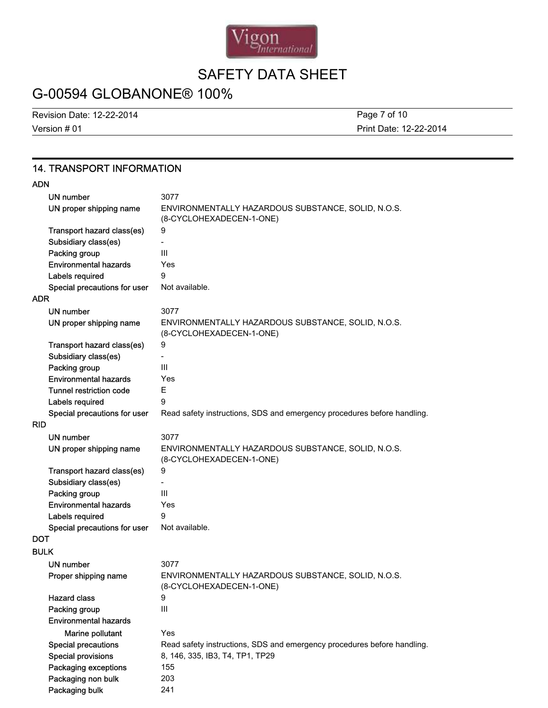

# G-00594 GLOBANONE® 100%

Version # 01 Revision Date: 12-22-2014 Print Date: 12-22-2014 Page 7 of 10

### 14. TRANSPORT INFORMATION

### ADN

|             | UN number                      | 3077                                                                           |
|-------------|--------------------------------|--------------------------------------------------------------------------------|
|             | UN proper shipping name        | ENVIRONMENTALLY HAZARDOUS SUBSTANCE, SOLID, N.O.S.                             |
|             |                                | (8-CYCLOHEXADECEN-1-ONE)                                                       |
|             | Transport hazard class(es)     | 9                                                                              |
|             | Subsidiary class(es)           |                                                                                |
|             | Packing group                  | III                                                                            |
|             | <b>Environmental hazards</b>   | Yes                                                                            |
|             | Labels required                | 9                                                                              |
| <b>ADR</b>  | Special precautions for user   | Not available.                                                                 |
|             |                                | 3077                                                                           |
|             | UN number                      |                                                                                |
|             | UN proper shipping name        | ENVIRONMENTALLY HAZARDOUS SUBSTANCE, SOLID, N.O.S.<br>(8-CYCLOHEXADECEN-1-ONE) |
|             | Transport hazard class(es)     | 9                                                                              |
|             | Subsidiary class(es)           |                                                                                |
|             | Packing group                  | Ш                                                                              |
|             | <b>Environmental hazards</b>   | Yes                                                                            |
|             | <b>Tunnel restriction code</b> | Е                                                                              |
|             | Labels required                | 9                                                                              |
|             | Special precautions for user   | Read safety instructions, SDS and emergency procedures before handling.        |
| <b>RID</b>  |                                |                                                                                |
|             | <b>UN number</b>               | 3077                                                                           |
|             | UN proper shipping name        | ENVIRONMENTALLY HAZARDOUS SUBSTANCE, SOLID, N.O.S.<br>(8-CYCLOHEXADECEN-1-ONE) |
|             | Transport hazard class(es)     | 9                                                                              |
|             | Subsidiary class(es)           |                                                                                |
|             | Packing group                  | Ш                                                                              |
|             | <b>Environmental hazards</b>   | Yes                                                                            |
|             | Labels required                | 9                                                                              |
|             | Special precautions for user   | Not available.                                                                 |
| <b>DOT</b>  |                                |                                                                                |
| <b>BULK</b> |                                |                                                                                |
|             | <b>UN number</b>               | 3077                                                                           |
|             | Proper shipping name           | ENVIRONMENTALLY HAZARDOUS SUBSTANCE, SOLID, N.O.S.<br>(8-CYCLOHEXADECEN-1-ONE) |
|             | <b>Hazard class</b>            | 9                                                                              |
|             | Packing group                  | III                                                                            |
|             | <b>Environmental hazards</b>   |                                                                                |
|             | Marine pollutant               | Yes                                                                            |
|             | <b>Special precautions</b>     | Read safety instructions, SDS and emergency procedures before handling.        |
|             | <b>Special provisions</b>      | 8, 146, 335, IB3, T4, TP1, TP29                                                |
|             | Packaging exceptions           | 155                                                                            |
|             | Packaging non bulk             | 203                                                                            |
|             | Packaging bulk                 | 241                                                                            |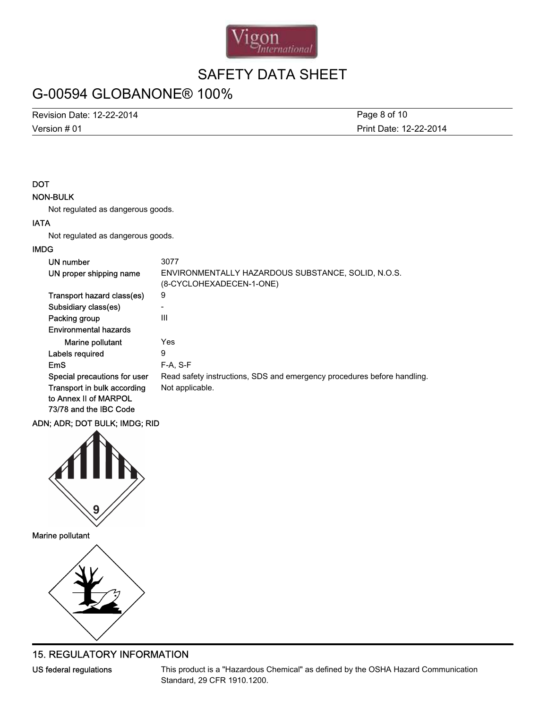

# G-00594 GLOBANONE® 100%

Revision Date: 12-22-2014

Version # 01

Print Date: 12-22-2014 Page 8 of 10

### DOT

### NON-BULK

Not regulated as dangerous goods.

### IATA

Not regulated as dangerous goods.

### IMDG

| UN number                    | 3077                                                                           |
|------------------------------|--------------------------------------------------------------------------------|
| UN proper shipping name      | ENVIRONMENTALLY HAZARDOUS SUBSTANCE, SOLID, N.O.S.<br>(8-CYCLOHEXADECEN-1-ONE) |
| Transport hazard class(es)   | 9                                                                              |
| Subsidiary class(es)         | -                                                                              |
| Packing group                | Ш                                                                              |
| <b>Environmental hazards</b> |                                                                                |
| Marine pollutant             | Yes                                                                            |
| Labels required              | 9                                                                              |
| EmS                          | $F-A, S-F$                                                                     |
| Special precautions for user | Read safety instructions, SDS and emergency procedures before handling.        |
| Transport in bulk according  | Not applicable.                                                                |
| to Annex II of MARPOL        |                                                                                |
| 73/78 and the IBC Code       |                                                                                |

### ADN; ADR; DOT BULK; IMDG; RID



Marine pollutant



### 15. REGULATORY INFORMATION

US federal regulations This product is a "Hazardous Chemical" as defined by the OSHA Hazard Communication Standard, 29 CFR 1910.1200.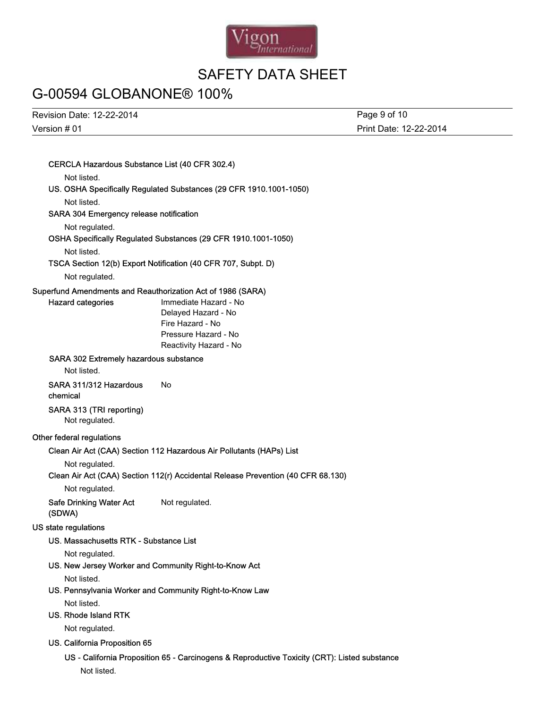

## G-00594 GLOBANONE® 100%

Version # 01 Revision Date: 12-22-2014

Print Date: 12-22-2014 Page 9 of 10

### CERCLA Hazardous Substance List (40 CFR 302.4)

Not listed.

### US. OSHA Specifically Regulated Substances (29 CFR 1910.1001-1050)

Not listed.

#### SARA 304 Emergency release notification

Not regulated.

### OSHA Specifically Regulated Substances (29 CFR 1910.1001-1050)

Not listed.

### TSCA Section 12(b) Export Notification (40 CFR 707, Subpt. D)

Not regulated.

#### Superfund Amendments and Reauthorization Act of 1986 (SARA)

Hazard categories **Immediate Hazard - No** Delayed Hazard - No Fire Hazard - No Pressure Hazard - No Reactivity Hazard - No

### SARA 302 Extremely hazardous substance

Not listed.

#### SARA 311/312 Hazardous chemical No

### SARA 313 (TRI reporting)

Not regulated.

### Other federal regulations

#### Clean Air Act (CAA) Section 112 Hazardous Air Pollutants (HAPs) List

Not regulated.

#### Clean Air Act (CAA) Section 112(r) Accidental Release Prevention (40 CFR 68.130)

Not regulated.

Safe Drinking Water Act (SDWA) Not regulated.

### US state regulations

#### US. Massachusetts RTK - Substance List

Not regulated.

### US. New Jersey Worker and Community Right-to-Know Act

Not listed.

#### US. Pennsylvania Worker and Community Right-to-Know Law

Not listed.

#### US. Rhode Island RTK

Not regulated.

### US. California Proposition 65

### US - California Proposition 65 - Carcinogens & Reproductive Toxicity (CRT): Listed substance

Not listed.